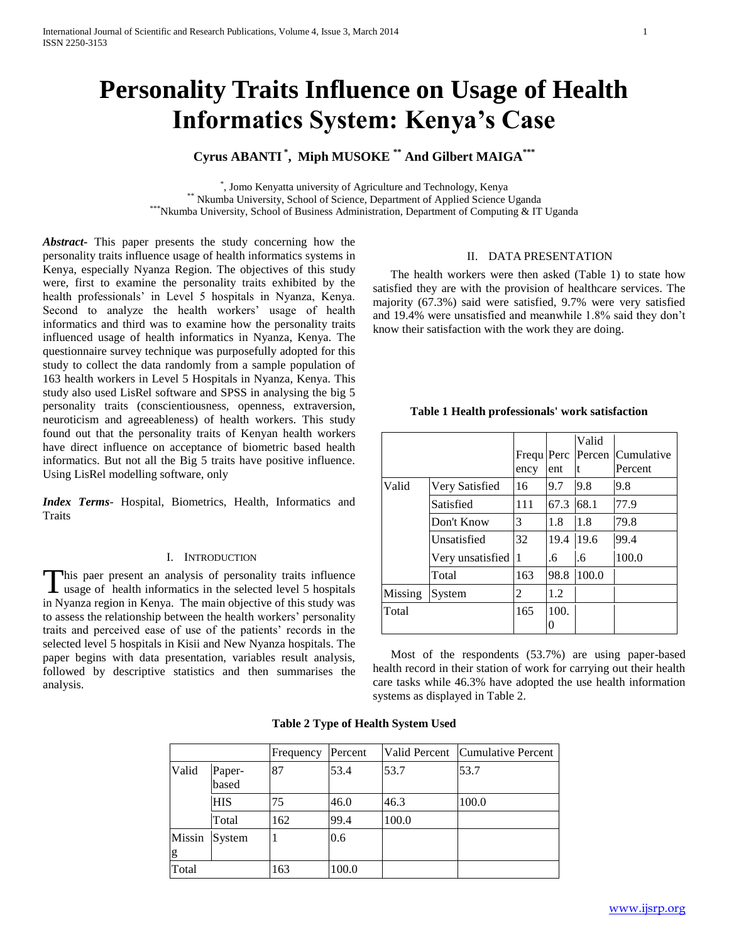# **Personality Traits Influence on Usage of Health Informatics System: Kenya's Case**

## **Cyrus ABANTI \* , Miph MUSOKE \*\* And Gilbert MAIGA\*\*\***

\* , Jomo Kenyatta university of Agriculture and Technology, Kenya \*\* Nkumba University, School of Science, Department of Applied Science Uganda \*\*\*Nkumba University, School of Business Administration, Department of Computing & IT Uganda

*Abstract***-** This paper presents the study concerning how the personality traits influence usage of health informatics systems in Kenya, especially Nyanza Region. The objectives of this study were, first to examine the personality traits exhibited by the health professionals' in Level 5 hospitals in Nyanza, Kenya. Second to analyze the health workers' usage of health informatics and third was to examine how the personality traits influenced usage of health informatics in Nyanza, Kenya. The questionnaire survey technique was purposefully adopted for this study to collect the data randomly from a sample population of 163 health workers in Level 5 Hospitals in Nyanza, Kenya. This study also used LisRel software and SPSS in analysing the big 5 personality traits (conscientiousness, openness, extraversion, neuroticism and agreeableness) of health workers. This study found out that the personality traits of Kenyan health workers have direct influence on acceptance of biometric based health informatics. But not all the Big 5 traits have positive influence. Using LisRel modelling software, only

*Index Terms*- Hospital, Biometrics, Health, Informatics and **Traits** 

#### I. INTRODUCTION

his paer present an analysis of personality traits influence This paer present an analysis of personality traits influence<br>usage of health informatics in the selected level 5 hospitals in Nyanza region in Kenya. The main objective of this study was to assess the relationship between the health workers' personality traits and perceived ease of use of the patients' records in the selected level 5 hospitals in Kisii and New Nyanza hospitals. The paper begins with data presentation, variables result analysis, followed by descriptive statistics and then summarises the analysis.

#### II. DATA PRESENTATION

 The health workers were then asked (Table 1) to state how satisfied they are with the provision of healthcare services. The majority (67.3%) said were satisfied, 9.7% were very satisfied and 19.4% were unsatisfied and meanwhile 1.8% said they don't know their satisfaction with the work they are doing.

|         |                  |            |      | Valid  |            |
|---------|------------------|------------|------|--------|------------|
|         |                  | Frequ Perc |      | Percen | Cumulative |
|         |                  | ency       | ent  | t      | Percent    |
| Valid   | Very Satisfied   | 16         | 9.7  | 9.8    | 9.8        |
|         | Satisfied        | 111        | 67.3 | 68.1   | 77.9       |
|         | Don't Know       | 3          | 1.8  | 1.8    | 79.8       |
|         | Unsatisfied      | 32         | 19.4 | 19.6   | 99.4       |
|         | Very unsatisfied | 11         | .6   | .6     | 100.0      |
|         | Total            | 163        | 98.8 | 100.0  |            |
| Missing | System           | 2          | 1.2  |        |            |
| Total   |                  | 165        | 100. |        |            |

**Table 1 Health professionals' work satisfaction**

 Most of the respondents (53.7%) are using paper-based health record in their station of work for carrying out their health care tasks while 46.3% have adopted the use health information systems as displayed in Table 2.

|             |                 | Frequency | Percent |       | Valid Percent Cumulative Percent |
|-------------|-----------------|-----------|---------|-------|----------------------------------|
| Valid       | Paper-<br>based | 87        | 53.4    | 53.7  | 53.7                             |
|             | <b>HIS</b>      | 75        | 46.0    | 46.3  | 100.0                            |
|             | Total           | 162       | 99.4    | 100.0 |                                  |
| Missin<br>g | System          |           | 0.6     |       |                                  |
| Total       |                 | 163       | 100.0   |       |                                  |

#### **Table 2 Type of Health System Used**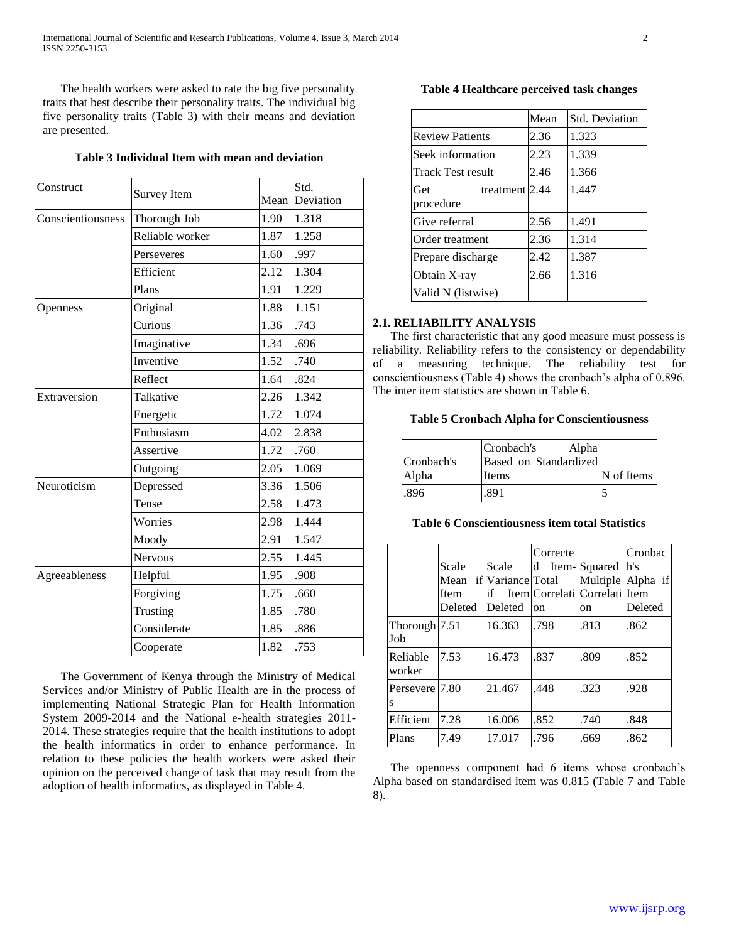The health workers were asked to rate the big five personality traits that best describe their personality traits. The individual big five personality traits (Table 3) with their means and deviation are presented.

## **Table 3 Individual Item with mean and deviation**

| Construct         | <b>Survey Item</b> | Mean | Std.<br>Deviation |
|-------------------|--------------------|------|-------------------|
| Conscientiousness | Thorough Job       | 1.90 | 1.318             |
|                   | Reliable worker    | 1.87 | 1.258             |
|                   | Perseveres         | 1.60 | .997              |
|                   | Efficient          | 2.12 | 1.304             |
|                   | Plans              | 1.91 | 1.229             |
| Openness          | Original           | 1.88 | 1.151             |
|                   | Curious            | 1.36 | .743              |
|                   | Imaginative        | 1.34 | .696              |
|                   | Inventive          | 1.52 | .740              |
|                   | Reflect            | 1.64 | .824              |
| Extraversion      | Talkative          | 2.26 | 1.342             |
|                   | Energetic          | 1.72 | 1.074             |
|                   | Enthusiasm         | 4.02 | 2.838             |
|                   | Assertive          | 1.72 | .760              |
|                   | Outgoing           | 2.05 | 1.069             |
| Neuroticism       | Depressed          | 3.36 | 1.506             |
|                   | Tense              | 2.58 | 1.473             |
|                   | Worries            | 2.98 | 1.444             |
|                   | Moody              | 2.91 | 1.547             |
|                   | <b>Nervous</b>     | 2.55 | 1.445             |
| Agreeableness     | Helpful            | 1.95 | .908              |
|                   | Forgiving          | 1.75 | .660              |
|                   | Trusting           | 1.85 | .780              |
|                   | Considerate        | 1.85 | .886              |
|                   | Cooperate          | 1.82 | .753              |

 The Government of Kenya through the Ministry of Medical Services and/or Ministry of Public Health are in the process of implementing National Strategic Plan for Health Information System 2009-2014 and the National e-health strategies 2011- 2014. These strategies require that the health institutions to adopt the health informatics in order to enhance performance. In relation to these policies the health workers were asked their opinion on the perceived change of task that may result from the adoption of health informatics, as displayed in Table 4.

## **Table 4 Healthcare perceived task changes**

|                                      | Mean | <b>Std. Deviation</b> |
|--------------------------------------|------|-----------------------|
| <b>Review Patients</b>               | 2.36 | 1.323                 |
| Seek information                     | 2.23 | 1.339                 |
| <b>Track Test result</b>             | 2.46 | 1.366                 |
| Get<br>treatment $2.44$<br>procedure |      | 1.447                 |
| Give referral                        | 2.56 | 1.491                 |
| Order treatment                      | 2.36 | 1.314                 |
| Prepare discharge                    | 2.42 | 1.387                 |
| Obtain X-ray                         | 2.66 | 1.316                 |
| Valid N (listwise)                   |      |                       |

#### **2.1. RELIABILITY ANALYSIS**

 The first characteristic that any good measure must possess is reliability. Reliability refers to the consistency or dependability of a measuring technique. The reliability test for conscientiousness (Table 4) shows the cronbach's alpha of 0.896. The inter item statistics are shown in Table 6.

## **Table 5 Cronbach Alpha for Conscientiousness**

|            | Cronbach's<br>Alpha   |            |
|------------|-----------------------|------------|
| Cronbach's | Based on Standardized |            |
| Alpha      | Items                 | N of Items |
| .896       | -891                  |            |

#### **Table 6 Conscientiousness item total Statistics**

|                        |         |                        | Correcte       |                               | Cronbac           |
|------------------------|---------|------------------------|----------------|-------------------------------|-------------------|
|                        | Scale   | Scale                  | d Item-Squared |                               | h's               |
|                        |         | Mean if Variance Total |                |                               | Multiple Alpha if |
|                        | Item    | if                     |                | Item Correlati Correlati Item |                   |
|                        | Deleted | Deleted                | on             | on                            | Deleted           |
| Thorough $7.51$<br>Job |         | 16.363                 | .798           | .813                          | .862              |
| Reliable<br>worker     | 7.53    | 16.473                 | .837           | .809                          | .852              |
| Persevere 7.80<br>S    |         | 21.467                 | .448           | .323                          | .928              |
| Efficient              | 7.28    | 16.006                 | .852           | .740                          | .848              |
| Plans                  | 7.49    | 17.017                 | .796           | .669                          | .862              |

 The openness component had 6 items whose cronbach's Alpha based on standardised item was 0.815 (Table 7 and Table 8).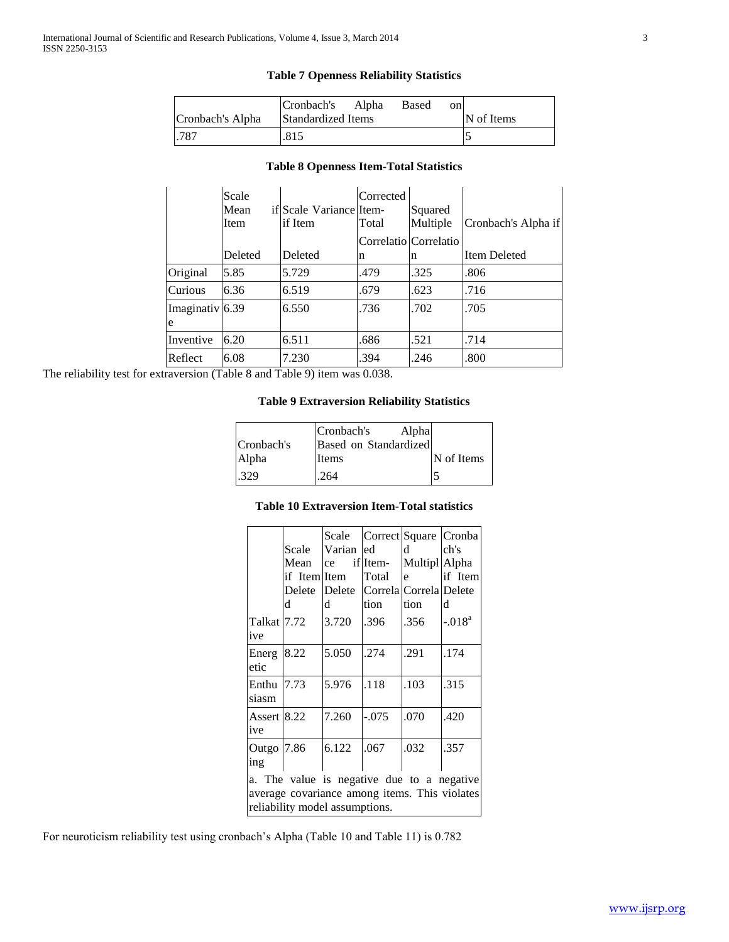## **Table 7 Openness Reliability Statistics**

|                  | Cronbach's Alpha          | Based | on |            |
|------------------|---------------------------|-------|----|------------|
| Cronbach's Alpha | <b>Standardized Items</b> |       |    | N of Items |
| .787             | .815                      |       |    |            |

## **Table 8 Openness Item-Total Statistics**

|                 | Scale   |                         | Corrected |                       |                     |
|-----------------|---------|-------------------------|-----------|-----------------------|---------------------|
|                 | Mean    | if Scale Variance Item- |           | Squared               |                     |
|                 | Item    | if Item                 | Total     | Multiple              | Cronbach's Alpha if |
|                 |         |                         |           | Correlatio Correlatio |                     |
|                 | Deleted | Deleted                 | n         | n                     | Item Deleted        |
| Original        | 5.85    | 5.729                   | .479      | .325                  | .806                |
| <b>Curious</b>  | 6.36    | 6.519                   | .679      | .623                  | .716                |
| Imaginativ 6.39 |         | 6.550                   | .736      | .702                  | .705                |
| e               |         |                         |           |                       |                     |
| Inventive       | 6.20    | 6.511                   | .686      | .521                  | .714                |
| Reflect         | 6.08    | 7.230                   | .394      | .246                  | .800                |

The reliability test for extraversion (Table 8 and Table 9) item was 0.038.

## **Table 9 Extraversion Reliability Statistics**

|            | Cronbach's<br>Alpha   |            |
|------------|-----------------------|------------|
| Cronbach's | Based on Standardized |            |
| Alpha      | Items                 | N of Items |
| .329       | .264                  |            |

## **Table 10 Extraversion Item-Total statistics**

|                                                                                                                               | Scale<br>Mean<br>if ItemlItem<br>Delete<br>d | Varian led<br>ce<br>d | Scale Correct Square Cronba<br>iflItem-<br>Total<br>Delete Correla Correla Delete<br>tion | d<br>Multipl Alpha<br>e<br>tion | ch's<br>if Item<br>d |
|-------------------------------------------------------------------------------------------------------------------------------|----------------------------------------------|-----------------------|-------------------------------------------------------------------------------------------|---------------------------------|----------------------|
| Talkat 7.72<br>ive                                                                                                            |                                              | 3.720                 | .396                                                                                      | .356                            | $-.018a$             |
| Energ<br>etic                                                                                                                 | 8.22                                         | 5.050                 | .274                                                                                      | .291                            | .174                 |
| Enthu<br>siasm                                                                                                                | 7.73                                         | 5.976                 | .118                                                                                      | .103                            | .315                 |
| Assert 8.22<br>ive                                                                                                            |                                              | 7.260                 | $-0.075$                                                                                  | .070                            | .420                 |
| Outgo 7.86<br>ing                                                                                                             |                                              | 6.122                 | .067                                                                                      | .032                            | .357                 |
| a. The value is negative due to a negative<br>average covariance among items. This violates<br>reliability model assumptions. |                                              |                       |                                                                                           |                                 |                      |

For neuroticism reliability test using cronbach's Alpha (Table 10 and Table 11) is 0.782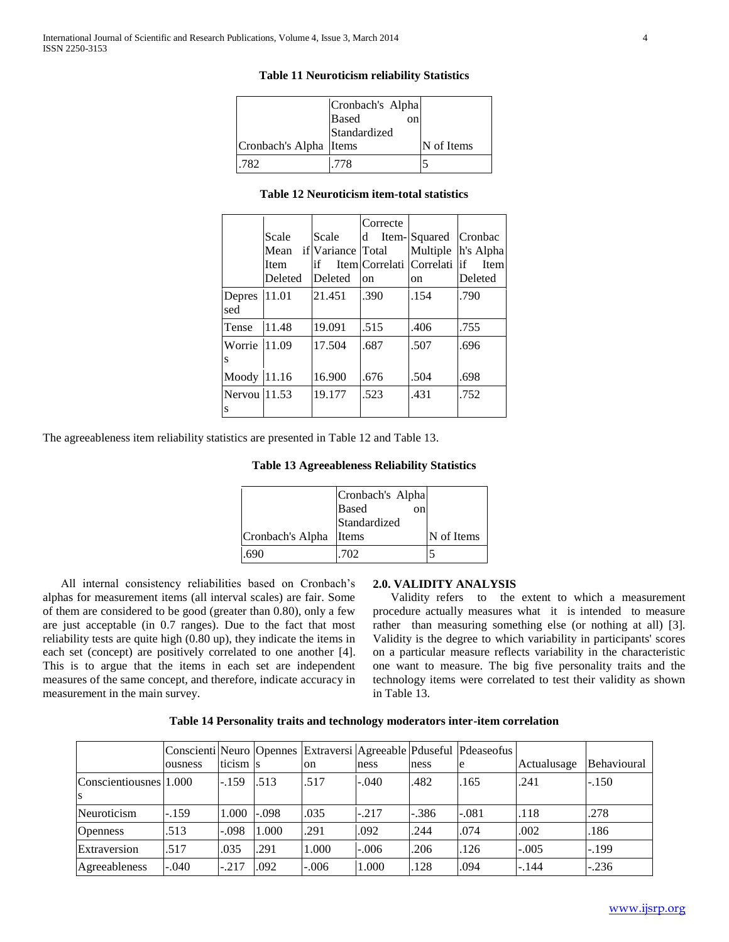| Cronbach's Alpha Items | Cronbach's Alpha<br><b>Based</b><br>on<br>Standardized | N of Items |
|------------------------|--------------------------------------------------------|------------|
|                        |                                                        |            |
| .782                   | -778                                                   |            |

#### **Table 11 Neuroticism reliability Statistics**

#### **Table 12 Neuroticism item-total statistics**

|                   |         |                   | Correcte                       |      |                    |
|-------------------|---------|-------------------|--------------------------------|------|--------------------|
|                   | Scale   | Scale             | d Item-Squared                 |      | Cronbac            |
|                   | Mean    | if Variance Total |                                |      | Multiple h's Alpha |
|                   | Item    | if                | Item Correlati  Correlati   if |      | <b>I</b> tem       |
|                   | Deleted | Deleted           | <sub>on</sub>                  | on   | Deleted            |
| Depres<br>sed     | 11.01   | 21.451            | .390                           | .154 | .790               |
| Tense             | 11.48   | 19.091            | .515                           | .406 | .755               |
| Worrie 11.09<br>S |         | 17.504            | .687                           | .507 | .696               |
| Moody 11.16       |         | 16.900            | .676                           | .504 | .698               |
| Nervou 11.53<br>S |         | 19.177            | .523                           | .431 | .752               |

The agreeableness item reliability statistics are presented in Table 12 and Table 13.

**Table 13 Agreeableness Reliability Statistics**

|                  | Cronbach's Alpha   |            |
|------------------|--------------------|------------|
|                  | <b>Based</b><br>on |            |
|                  | Standardized       |            |
| Cronbach's Alpha | Items              | N of Items |
| .690             | .702               |            |

 All internal consistency reliabilities based on Cronbach's alphas for measurement items (all interval scales) are fair. Some of them are considered to be good (greater than 0.80), only a few are just acceptable (in 0.7 ranges). Due to the fact that most reliability tests are quite high (0.80 up), they indicate the items in each set (concept) are positively correlated to one another [4]. This is to argue that the items in each set are independent measures of the same concept, and therefore, indicate accuracy in measurement in the main survey.

#### **2.0. VALIDITY ANALYSIS**

 Validity refers to the extent to which a measurement procedure actually measures what it is intended to measure rather than measuring something else (or nothing at all) [3]. Validity is the degree to which variability in participants' scores on a particular measure reflects variability in the characteristic one want to measure. The big five personality traits and the technology items were correlated to test their validity as shown in Table 13.

| Table 14 Personality traits and technology moderators inter-item correlation |  |
|------------------------------------------------------------------------------|--|
|                                                                              |  |

|                        |         |          |         |         |         |         | Conscienti Neuro Opennes Extraversi Agreeable Pouseful Pdeaseofus |             |             |
|------------------------|---------|----------|---------|---------|---------|---------|-------------------------------------------------------------------|-------------|-------------|
|                        | ousness | ticism s |         | on      | ness    | ness    | e                                                                 | Actualusage | Behavioural |
| Conscientiousnes 1.000 |         | $-.159$  | .513    | .517    | $-.040$ | .482    | .165                                                              | .241        | $-.150$     |
| ls                     |         |          |         |         |         |         |                                                                   |             |             |
| Neuroticism            | $-.159$ | 1.000    | $-.098$ | .035    | $-.217$ | $-.386$ | $-.081$                                                           | .118        | .278        |
| <b>Openness</b>        | .513    | $-.098$  | 1.000   | .291    | .092    | .244    | .074                                                              | .002        | .186        |
| Extraversion           | .517    | .035     | .291    | 1.000   | $-.006$ | .206    | .126                                                              | $-.005$     | $-199$      |
| Agreeableness          | $-.040$ | $-.217$  | .092    | $-.006$ | 1.000   | .128    | .094                                                              | $-.144$     | $-.236$     |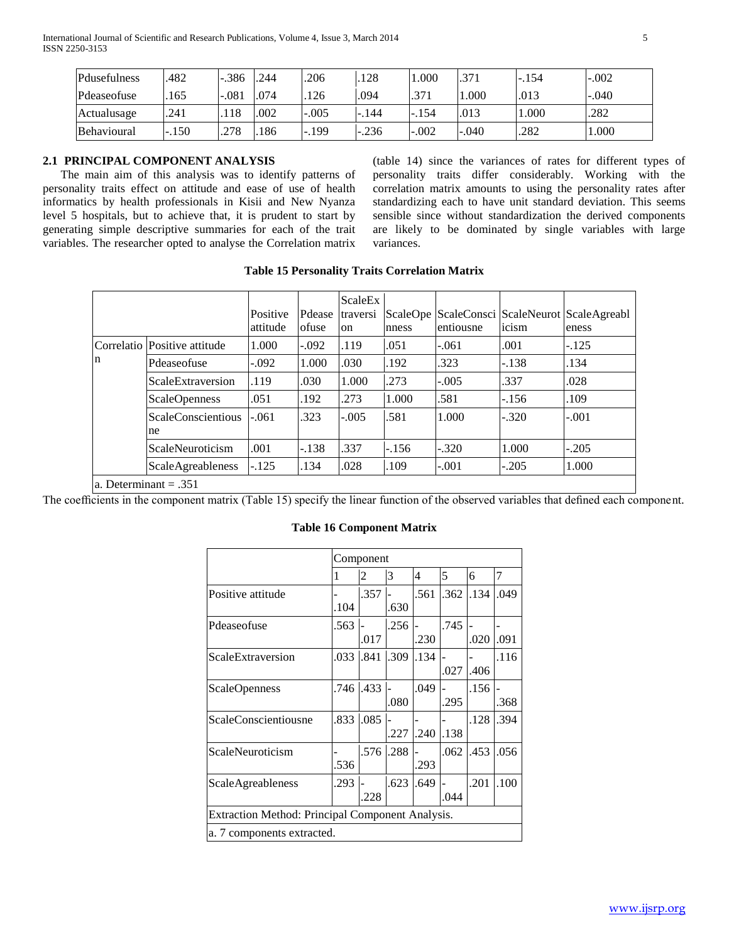| Pdusefulness | .482 | $-.386$ | 244  | .206    | 128     | .000    | .371    | $-.154$ | $-.002$ |
|--------------|------|---------|------|---------|---------|---------|---------|---------|---------|
| Pdeaseofuse  | 165  | $-.081$ | .074 | 126     | .094    | .371    | .000.   | .013    | $-.040$ |
| Actualusage  | .241 | .118    | .002 | $-.005$ | $-.144$ | -.154   | .013    | 000.1   | .282    |
| Behavioural  | .150 | .278    | .186 | $-.199$ | $-236$  | $-.002$ | $-.040$ | 282     | 000.1   |

## **2.1 PRINCIPAL COMPONENT ANALYSIS**

 The main aim of this analysis was to identify patterns of personality traits effect on attitude and ease of use of health informatics by health professionals in Kisii and New Nyanza level 5 hospitals, but to achieve that, it is prudent to start by generating simple descriptive summaries for each of the trait variables. The researcher opted to analyse the Correlation matrix (table 14) since the variances of rates for different types of personality traits differ considerably. Working with the correlation matrix amounts to using the personality rates after standardizing each to have unit standard deviation. This seems sensible since without standardization the derived components are likely to be dominated by single variables with large variances.

#### Positive | Pdease | traversi | ScaleOpe | ScaleConsci | ScaleNeurot | ScaleAgreabl attitude ofuse ScaleEx on nness entiousne icism

**Table 15 Personality Traits Correlation Matrix**

|   |                                 | attitude | ofuse   | on      | nness   | lentiousne | icism   | eness   |
|---|---------------------------------|----------|---------|---------|---------|------------|---------|---------|
|   | Correlatio Positive attitude    | 1.000    | $-.092$ | .119    | .051    | -.061      | .001    | $-125$  |
| n | Pdeaseofuse                     | -.092    | 1.000   | .030    | .192    | .323       | $-.138$ | .134    |
|   | ScaleExtraversion               | .119     | .030    | 1.000   | .273    | $-.005$    | .337    | .028    |
|   | <b>ScaleOpenness</b>            | .051     | .192    | .273    | 1.000   | .581       | $-156$  | .109    |
|   | <b>ScaleConscientious</b><br>ne | $-.061$  | .323    | $-.005$ | .581    | 1.000      | $-.320$ | $-.001$ |
|   | ScaleNeuroticism                | .001     | $-.138$ | .337    | $-.156$ | $-.320$    | 1.000   | $-.205$ |
|   | <b>ScaleAgreableness</b>        | $-125$   | .134    | .028    | .109    | $-.001$    | $-.205$ | 1.000   |
|   |                                 |          |         |         |         |            |         |         |

a. Determinant = .351

The coefficients in the component matrix (Table 15) specify the linear function of the observed variables that defined each component.

|                                                  | Component |      |      |      |      |      |      |  |
|--------------------------------------------------|-----------|------|------|------|------|------|------|--|
|                                                  | 1         | 2    | 3    | 4    | 5    | 6    | 7    |  |
| Positive attitude                                | .104      | .357 | .630 | .561 | .362 | 134  | .049 |  |
| Pdeaseofuse                                      | .563      | .017 | .256 | .230 | .745 | .020 | .091 |  |
| ScaleExtraversion                                | .033      | .841 | .309 | .134 | .027 | .406 | .116 |  |
| ScaleOpenness                                    | .746      | .433 | .080 | .049 | .295 | .156 | .368 |  |
| ScaleConscientiousne                             | .833      | .085 | .227 | .240 | .138 | .128 | .394 |  |
| ScaleNeuroticism                                 | .536      | .576 | .288 | .293 | .062 | .453 | .056 |  |
| ScaleAgreableness                                | .293      | .228 | .623 | .649 | .044 | .201 | .100 |  |
| Extraction Method: Principal Component Analysis. |           |      |      |      |      |      |      |  |
| a. 7 components extracted.                       |           |      |      |      |      |      |      |  |

## **Table 16 Component Matrix**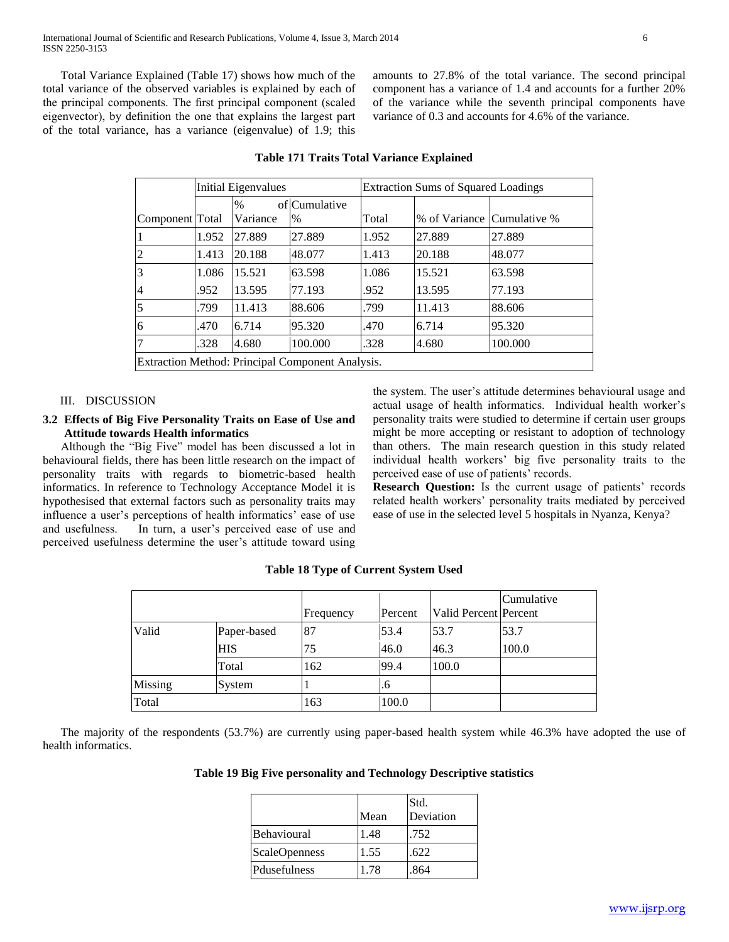Total Variance Explained (Table 17) shows how much of the total variance of the observed variables is explained by each of the principal components. The first principal component (scaled eigenvector), by definition the one that explains the largest part of the total variance, has a variance (eigenvalue) of 1.9; this

amounts to 27.8% of the total variance. The second principal component has a variance of 1.4 and accounts for a further 20% of the variance while the seventh principal components have variance of 0.3 and accounts for 4.6% of the variance.

|                                                  | Initial Eigenvalues |          |               | <b>Extraction Sums of Squared Loadings</b> |                            |         |  |  |
|--------------------------------------------------|---------------------|----------|---------------|--------------------------------------------|----------------------------|---------|--|--|
|                                                  |                     | $\%$     | oflCumulative |                                            |                            |         |  |  |
| Component Total                                  |                     | Variance | $\%$          | Total                                      | % of Variance Cumulative % |         |  |  |
|                                                  | 1.952               | 27.889   | 27.889        | 1.952                                      | 27.889                     | 27.889  |  |  |
| 2                                                | 1.413               | 20.188   | 48.077        | 1.413                                      | 20.188                     | 48.077  |  |  |
| 3                                                | 1.086               | 15.521   | 63.598        | 1.086                                      | 15.521                     | 63.598  |  |  |
| 4                                                | .952                | 13.595   | 77.193        | .952                                       | 13.595                     | 77.193  |  |  |
| $\overline{5}$                                   | .799                | 11.413   | 88.606        | .799                                       | 11.413                     | 88.606  |  |  |
| 6                                                | .470                | 6.714    | 95.320        | .470                                       | 6.714                      | 95.320  |  |  |
|                                                  | .328                | 4.680    | 100.000       | .328                                       | 4.680                      | 100.000 |  |  |
| Extraction Method: Principal Component Analysis. |                     |          |               |                                            |                            |         |  |  |

## **Table 171 Traits Total Variance Explained**

#### III. DISCUSSION

#### **3.2 Effects of Big Five Personality Traits on Ease of Use and Attitude towards Health informatics**

 Although the "Big Five" model has been discussed a lot in behavioural fields, there has been little research on the impact of personality traits with regards to biometric-based health informatics. In reference to Technology Acceptance Model it is hypothesised that external factors such as personality traits may influence a user's perceptions of health informatics' ease of use and usefulness. In turn, a user's perceived ease of use and perceived usefulness determine the user's attitude toward using the system. The user's attitude determines behavioural usage and actual usage of health informatics. Individual health worker's personality traits were studied to determine if certain user groups might be more accepting or resistant to adoption of technology than others. The main research question in this study related individual health workers' big five personality traits to the perceived ease of use of patients' records.

**Research Question:** Is the current usage of patients' records related health workers' personality traits mediated by perceived ease of use in the selected level 5 hospitals in Nyanza, Kenya?

## **Table 18 Type of Current System Used**

|         |             | Frequency | Percent | Valid Percent Percent | Cumulative |
|---------|-------------|-----------|---------|-----------------------|------------|
| Valid   | Paper-based | 87        | 53.4    | 53.7                  | 53.7       |
|         | HIS         | 75        | 46.0    | 46.3                  | 100.0      |
|         | Total       | 162       | 99.4    | 100.0                 |            |
| Missing | System      |           | .6      |                       |            |
| Total   |             | 163       | 100.0   |                       |            |

 The majority of the respondents (53.7%) are currently using paper-based health system while 46.3% have adopted the use of health informatics.

## **Table 19 Big Five personality and Technology Descriptive statistics**

|                      |      | Std.      |
|----------------------|------|-----------|
|                      | Mean | Deviation |
| Behavioural          | 1.48 | .752      |
| <b>ScaleOpenness</b> | 1.55 | .622      |
| Pdusefulness         | 1.78 | .864      |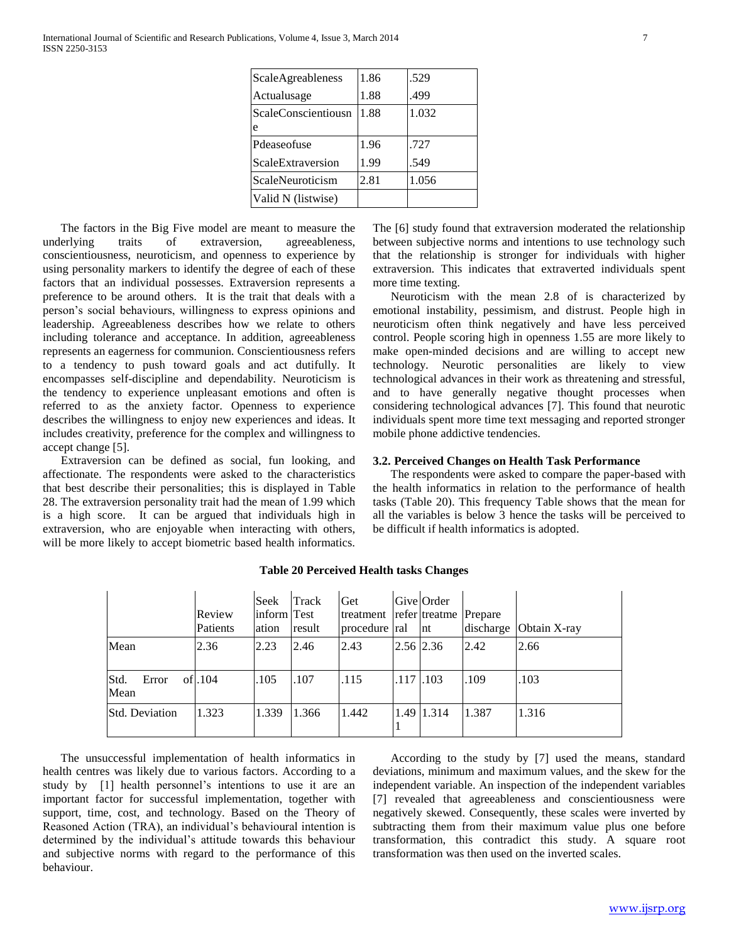| ScaleAgreableness   | 1.86 | .529  |
|---------------------|------|-------|
| Actualusage         | 1.88 | .499  |
| ScaleConscientiousn | 1.88 | 1.032 |
| e                   |      |       |
| Pdeaseofuse         | 1.96 | .727  |
| ScaleExtraversion   | 1.99 | .549  |
| ScaleNeuroticism    | 2.81 | 1.056 |
| Valid N (listwise)  |      |       |

 The factors in the Big Five model are meant to measure the underlying traits of extraversion, agreeableness, conscientiousness, neuroticism, and openness to experience by using personality markers to identify the degree of each of these factors that an individual possesses. Extraversion represents a preference to be around others. It is the trait that deals with a person's social behaviours, willingness to express opinions and leadership. Agreeableness describes how we relate to others including tolerance and acceptance. In addition, agreeableness represents an eagerness for communion. Conscientiousness refers to a tendency to push toward goals and act dutifully. It encompasses self-discipline and dependability. Neuroticism is the tendency to experience unpleasant emotions and often is referred to as the anxiety factor. Openness to experience describes the willingness to enjoy new experiences and ideas. It includes creativity, preference for the complex and willingness to accept change [5].

 Extraversion can be defined as social, fun looking, and affectionate. The respondents were asked to the characteristics that best describe their personalities; this is displayed in Table 28. The extraversion personality trait had the mean of 1.99 which is a high score. It can be argued that individuals high in extraversion, who are enjoyable when interacting with others, will be more likely to accept biometric based health informatics.

The [6] study found that extraversion moderated the relationship between subjective norms and intentions to use technology such that the relationship is stronger for individuals with higher extraversion. This indicates that extraverted individuals spent more time texting.

 Neuroticism with the mean 2.8 of is characterized by emotional instability, pessimism, and distrust. People high in neuroticism often think negatively and have less perceived control. People scoring high in openness 1.55 are more likely to make open-minded decisions and are willing to accept new technology. Neurotic personalities are likely to view technological advances in their work as threatening and stressful, and to have generally negative thought processes when considering technological advances [7]. This found that neurotic individuals spent more time text messaging and reported stronger mobile phone addictive tendencies.

#### **3.2. Perceived Changes on Health Task Performance**

 The respondents were asked to compare the paper-based with the health informatics in relation to the performance of health tasks (Table 20). This frequency Table shows that the mean for all the variables is below 3 hence the tasks will be perceived to be difficult if health informatics is adopted.

|                       | Review<br>Patients | Seek<br>inform Test<br>ation | Track<br>result | Get<br>treatment refer treatme Prepare<br>procedure ral |               | Give Order<br>nt | discharge | Obtain X-ray |
|-----------------------|--------------------|------------------------------|-----------------|---------------------------------------------------------|---------------|------------------|-----------|--------------|
| Mean                  | 2.36               | 2.23                         | 2.46            | 2.43                                                    | $2.56$ $2.36$ |                  | 2.42      | 2.66         |
| Std.<br>Error<br>Mean | ofl.104            | .105                         | .107            | .115                                                    | $.117$ $.103$ |                  | .109      | .103         |
| <b>Std. Deviation</b> | 1.323              | 1.339                        | 1.366           | 1.442                                                   |               | 1.49 1.314       | 1.387     | 1.316        |

#### **Table 20 Perceived Health tasks Changes**

 The unsuccessful implementation of health informatics in health centres was likely due to various factors. According to a study by [1] health personnel's intentions to use it are an important factor for successful implementation, together with support, time, cost, and technology. Based on the Theory of Reasoned Action (TRA), an individual's behavioural intention is determined by the individual's attitude towards this behaviour and subjective norms with regard to the performance of this behaviour.

 According to the study by [7] used the means, standard deviations, minimum and maximum values, and the skew for the independent variable. An inspection of the independent variables [7] revealed that agreeableness and conscientiousness were negatively skewed. Consequently, these scales were inverted by subtracting them from their maximum value plus one before transformation, this contradict this study. A square root transformation was then used on the inverted scales.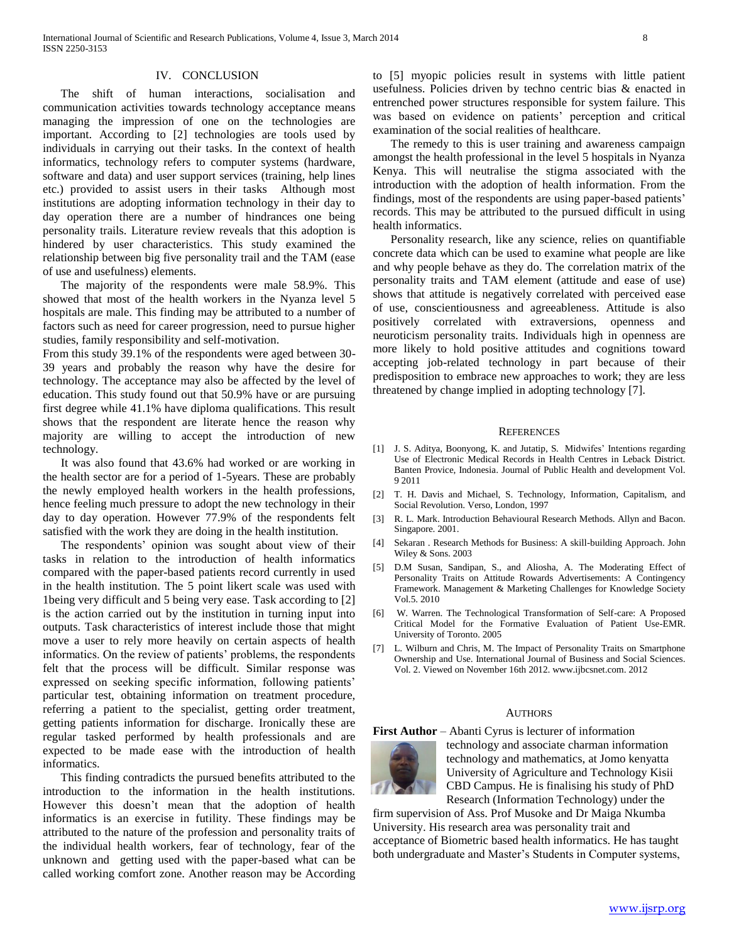#### IV. CONCLUSION

 The shift of human interactions, socialisation and communication activities towards technology acceptance means managing the impression of one on the technologies are important. According to [2] technologies are tools used by individuals in carrying out their tasks. In the context of health informatics, technology refers to computer systems (hardware, software and data) and user support services (training, help lines etc.) provided to assist users in their tasks Although most institutions are adopting information technology in their day to day operation there are a number of hindrances one being personality trails. Literature review reveals that this adoption is hindered by user characteristics. This study examined the relationship between big five personality trail and the TAM (ease of use and usefulness) elements.

 The majority of the respondents were male 58.9%. This showed that most of the health workers in the Nyanza level 5 hospitals are male. This finding may be attributed to a number of factors such as need for career progression, need to pursue higher studies, family responsibility and self-motivation.

From this study 39.1% of the respondents were aged between 30- 39 years and probably the reason why have the desire for technology. The acceptance may also be affected by the level of education. This study found out that 50.9% have or are pursuing first degree while 41.1% have diploma qualifications. This result shows that the respondent are literate hence the reason why majority are willing to accept the introduction of new technology.

 It was also found that 43.6% had worked or are working in the health sector are for a period of 1-5years. These are probably the newly employed health workers in the health professions, hence feeling much pressure to adopt the new technology in their day to day operation. However 77.9% of the respondents felt satisfied with the work they are doing in the health institution.

 The respondents' opinion was sought about view of their tasks in relation to the introduction of health informatics compared with the paper-based patients record currently in used in the health institution. The 5 point likert scale was used with 1being very difficult and 5 being very ease. Task according to [2] is the action carried out by the institution in turning input into outputs. Task characteristics of interest include those that might move a user to rely more heavily on certain aspects of health informatics. On the review of patients' problems, the respondents felt that the process will be difficult. Similar response was expressed on seeking specific information, following patients' particular test, obtaining information on treatment procedure, referring a patient to the specialist, getting order treatment, getting patients information for discharge. Ironically these are regular tasked performed by health professionals and are expected to be made ease with the introduction of health informatics.

 This finding contradicts the pursued benefits attributed to the introduction to the information in the health institutions. However this doesn't mean that the adoption of health informatics is an exercise in futility. These findings may be attributed to the nature of the profession and personality traits of the individual health workers, fear of technology, fear of the unknown and getting used with the paper-based what can be called working comfort zone. Another reason may be According

to [5] myopic policies result in systems with little patient usefulness. Policies driven by techno centric bias & enacted in entrenched power structures responsible for system failure. This was based on evidence on patients' perception and critical examination of the social realities of healthcare.

 The remedy to this is user training and awareness campaign amongst the health professional in the level 5 hospitals in Nyanza Kenya. This will neutralise the stigma associated with the introduction with the adoption of health information. From the findings, most of the respondents are using paper-based patients' records. This may be attributed to the pursued difficult in using health informatics.

 Personality research, like any science, relies on quantifiable concrete data which can be used to examine what people are like and why people behave as they do. The correlation matrix of the personality traits and TAM element (attitude and ease of use) shows that attitude is negatively correlated with perceived ease of use, conscientiousness and agreeableness. Attitude is also positively correlated with extraversions, openness and neuroticism personality traits. Individuals high in openness are more likely to hold positive attitudes and cognitions toward accepting job-related technology in part because of their predisposition to embrace new approaches to work; they are less threatened by change implied in adopting technology [7].

#### **REFERENCES**

- [1] J. S. Aditya, Boonyong, K. and Jutatip, S. Midwifes' Intentions regarding Use of Electronic Medical Records in Health Centres in Leback District. Banten Provice, Indonesia. Journal of Public Health and development Vol. 9 2011
- [2] T. H. Davis and Michael, S. Technology, Information, Capitalism, and Social Revolution. Verso, London, 1997
- [3] R. L. Mark. Introduction Behavioural Research Methods. Allyn and Bacon. Singapore. 2001.
- [4] Sekaran . Research Methods for Business: A skill-building Approach. John Wiley & Sons. 2003
- [5] D.M Susan, Sandipan, S., and Aliosha, A. The Moderating Effect of Personality Traits on Attitude Rowards Advertisements: A Contingency Framework. Management & Marketing Challenges for Knowledge Society Vol.5. 2010
- [6] W. Warren. The Technological Transformation of Self-care: A Proposed Critical Model for the Formative Evaluation of Patient Use-EMR. University of Toronto. 2005
- [7] L. Wilburn and Chris, M. The Impact of Personality Traits on Smartphone Ownership and Use. International Journal of Business and Social Sciences. Vol. 2. Viewed on November 16th 2012. www.ijbcsnet.com. 2012

#### AUTHORS

**First Author** – Abanti Cyrus is lecturer of information



technology and associate charman information technology and mathematics, at Jomo kenyatta University of Agriculture and Technology Kisii CBD Campus. He is finalising his study of PhD Research (Information Technology) under the

firm supervision of Ass. Prof Musoke and Dr Maiga Nkumba University. His research area was personality trait and acceptance of Biometric based health informatics. He has taught both undergraduate and Master's Students in Computer systems,